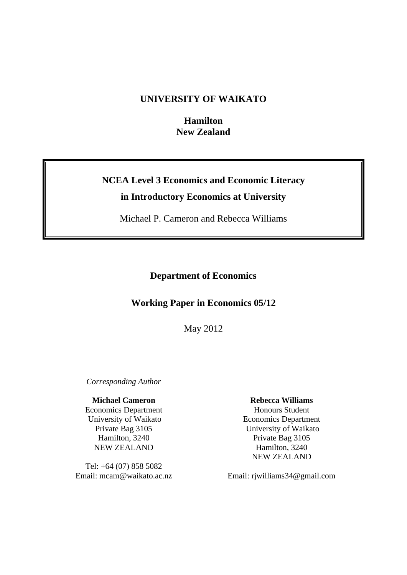# **UNIVERSITY OF WAIKATO**

**Hamilton New Zealand** 

# **NCEA Level 3 Economics and Economic Literacy in Introductory Economics at University**

Michael P. Cameron and Rebecca Williams

**Department of Economics** 

# **Working Paper in Economics 05/12**

May 2012

*Corresponding Author* 

# **Michael Cameron**

Economics Department University of Waikato Private Bag 3105 Hamilton, 3240 NEW ZEALAND

Tel: +64 (07) 858 5082 Email: mcam@waikato.ac.nz

# **Rebecca Williams**

Honours Student Economics Department University of Waikato Private Bag 3105 Hamilton, 3240 NEW ZEALAND

Email: rjwilliams34@gmail.com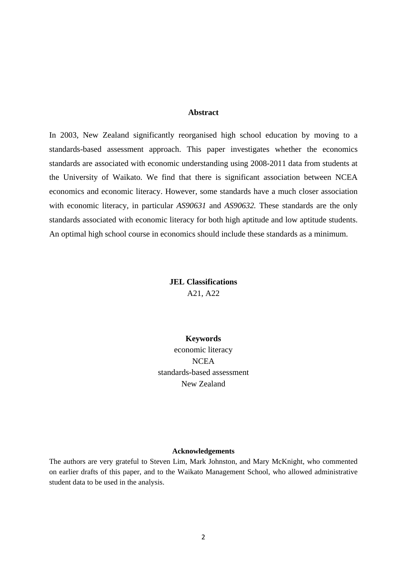## **Abstract**

In 2003, New Zealand significantly reorganised high school education by moving to a standards-based assessment approach. This paper investigates whether the economics standards are associated with economic understanding using 2008-2011 data from students at the University of Waikato. We find that there is significant association between NCEA economics and economic literacy. However, some standards have a much closer association with economic literacy, in particular *AS90631* and *AS90632.* These standards are the only standards associated with economic literacy for both high aptitude and low aptitude students. An optimal high school course in economics should include these standards as a minimum.

> **JEL Classifications**  A21, A22

# **Keywords**

economic literacy **NCEA** standards-based assessment New Zealand

#### **Acknowledgements**

The authors are very grateful to Steven Lim, Mark Johnston, and Mary McKnight, who commented on earlier drafts of this paper, and to the Waikato Management School, who allowed administrative student data to be used in the analysis.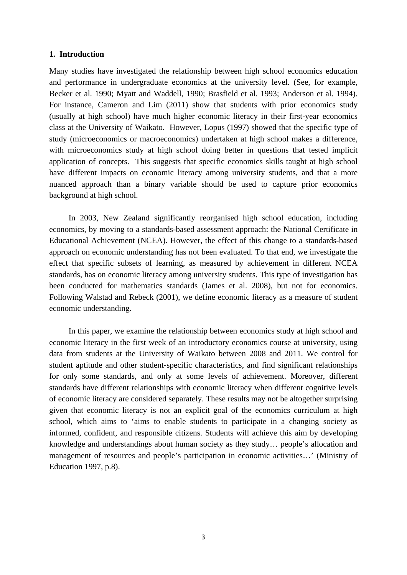#### **1. Introduction**

Many studies have investigated the relationship between high school economics education and performance in undergraduate economics at the university level. (See, for example, Becker et al. 1990; Myatt and Waddell, 1990; Brasfield et al. 1993; Anderson et al. 1994). For instance, Cameron and Lim (2011) show that students with prior economics study (usually at high school) have much higher economic literacy in their first-year economics class at the University of Waikato. However, Lopus (1997) showed that the specific type of study (microeconomics or macroeconomics) undertaken at high school makes a difference, with microeconomics study at high school doing better in questions that tested implicit application of concepts. This suggests that specific economics skills taught at high school have different impacts on economic literacy among university students, and that a more nuanced approach than a binary variable should be used to capture prior economics background at high school.

 In 2003, New Zealand significantly reorganised high school education, including economics, by moving to a standards-based assessment approach: the National Certificate in Educational Achievement (NCEA). However, the effect of this change to a standards-based approach on economic understanding has not been evaluated. To that end, we investigate the effect that specific subsets of learning, as measured by achievement in different NCEA standards, has on economic literacy among university students. This type of investigation has been conducted for mathematics standards (James et al. 2008), but not for economics. Following Walstad and Rebeck (2001), we define economic literacy as a measure of student economic understanding.

 In this paper, we examine the relationship between economics study at high school and economic literacy in the first week of an introductory economics course at university, using data from students at the University of Waikato between 2008 and 2011. We control for student aptitude and other student-specific characteristics, and find significant relationships for only some standards, and only at some levels of achievement. Moreover, different standards have different relationships with economic literacy when different cognitive levels of economic literacy are considered separately. These results may not be altogether surprising given that economic literacy is not an explicit goal of the economics curriculum at high school, which aims to 'aims to enable students to participate in a changing society as informed, confident, and responsible citizens. Students will achieve this aim by developing knowledge and understandings about human society as they study… people's allocation and management of resources and people's participation in economic activities…' (Ministry of Education 1997, p.8).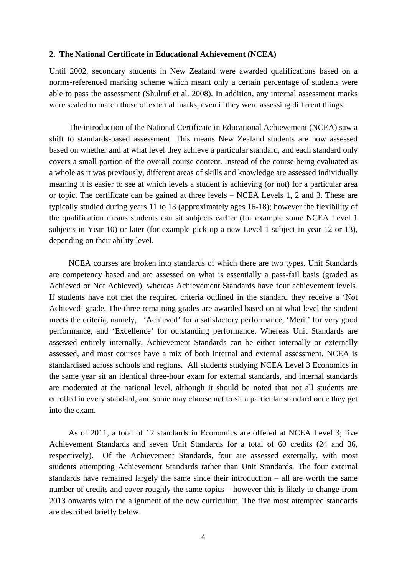#### **2. The National Certificate in Educational Achievement (NCEA)**

Until 2002, secondary students in New Zealand were awarded qualifications based on a norms-referenced marking scheme which meant only a certain percentage of students were able to pass the assessment (Shulruf et al. 2008). In addition, any internal assessment marks were scaled to match those of external marks, even if they were assessing different things.

 The introduction of the National Certificate in Educational Achievement (NCEA) saw a shift to standards-based assessment. This means New Zealand students are now assessed based on whether and at what level they achieve a particular standard, and each standard only covers a small portion of the overall course content. Instead of the course being evaluated as a whole as it was previously, different areas of skills and knowledge are assessed individually meaning it is easier to see at which levels a student is achieving (or not) for a particular area or topic. The certificate can be gained at three levels – NCEA Levels 1, 2 and 3. These are typically studied during years 11 to 13 (approximately ages 16-18); however the flexibility of the qualification means students can sit subjects earlier (for example some NCEA Level 1 subjects in Year 10) or later (for example pick up a new Level 1 subject in year 12 or 13), depending on their ability level.

 NCEA courses are broken into standards of which there are two types. Unit Standards are competency based and are assessed on what is essentially a pass-fail basis (graded as Achieved or Not Achieved), whereas Achievement Standards have four achievement levels. If students have not met the required criteria outlined in the standard they receive a 'Not Achieved' grade. The three remaining grades are awarded based on at what level the student meets the criteria, namely, 'Achieved' for a satisfactory performance, 'Merit' for very good performance, and 'Excellence' for outstanding performance. Whereas Unit Standards are assessed entirely internally, Achievement Standards can be either internally or externally assessed, and most courses have a mix of both internal and external assessment. NCEA is standardised across schools and regions. All students studying NCEA Level 3 Economics in the same year sit an identical three-hour exam for external standards, and internal standards are moderated at the national level, although it should be noted that not all students are enrolled in every standard, and some may choose not to sit a particular standard once they get into the exam.

 As of 2011, a total of 12 standards in Economics are offered at NCEA Level 3; five Achievement Standards and seven Unit Standards for a total of 60 credits (24 and 36, respectively). Of the Achievement Standards, four are assessed externally, with most students attempting Achievement Standards rather than Unit Standards. The four external standards have remained largely the same since their introduction – all are worth the same number of credits and cover roughly the same topics – however this is likely to change from 2013 onwards with the alignment of the new curriculum. The five most attempted standards are described briefly below.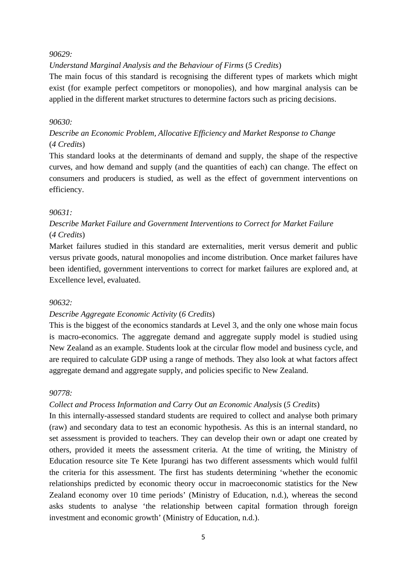#### *90629:*

*Understand Marginal Analysis and the Behaviour of Firms* (*5 Credits*)

The main focus of this standard is recognising the different types of markets which might exist (for example perfect competitors or monopolies), and how marginal analysis can be applied in the different market structures to determine factors such as pricing decisions.

## *90630:*

*Describe an Economic Problem, Allocative Efficiency and Market Response to Change*  (*4 Credits*)

This standard looks at the determinants of demand and supply, the shape of the respective curves, and how demand and supply (and the quantities of each) can change. The effect on consumers and producers is studied, as well as the effect of government interventions on efficiency.

#### *90631:*

# *Describe Market Failure and Government Interventions to Correct for Market Failure*  (*4 Credits*)

Market failures studied in this standard are externalities, merit versus demerit and public versus private goods, natural monopolies and income distribution. Once market failures have been identified, government interventions to correct for market failures are explored and, at Excellence level, evaluated.

#### *90632:*

# *Describe Aggregate Economic Activity* (*6 Credits*)

This is the biggest of the economics standards at Level 3, and the only one whose main focus is macro-economics. The aggregate demand and aggregate supply model is studied using New Zealand as an example. Students look at the circular flow model and business cycle, and are required to calculate GDP using a range of methods. They also look at what factors affect aggregate demand and aggregate supply, and policies specific to New Zealand.

#### *90778:*

# *Collect and Process Information and Carry Out an Economic Analysis* (*5 Credits*)

In this internally-assessed standard students are required to collect and analyse both primary (raw) and secondary data to test an economic hypothesis. As this is an internal standard, no set assessment is provided to teachers. They can develop their own or adapt one created by others, provided it meets the assessment criteria. At the time of writing, the Ministry of Education resource site Te Kete Ipurangi has two different assessments which would fulfil the criteria for this assessment. The first has students determining 'whether the economic relationships predicted by economic theory occur in macroeconomic statistics for the New Zealand economy over 10 time periods' (Ministry of Education, n.d.), whereas the second asks students to analyse 'the relationship between capital formation through foreign investment and economic growth' (Ministry of Education, n.d.).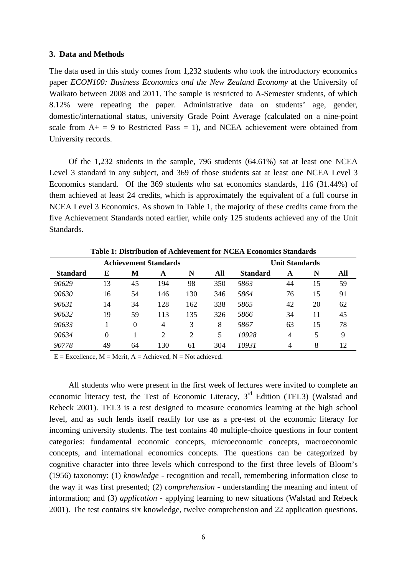#### **3. Data and Methods**

The data used in this study comes from 1,232 students who took the introductory economics paper *ECON100: Business Economics and the New Zealand Economy* at the University of Waikato between 2008 and 2011. The sample is restricted to A-Semester students, of which 8.12% were repeating the paper. Administrative data on students' age, gender, domestic/international status, university Grade Point Average (calculated on a nine-point scale from  $A_+ = 9$  to Restricted Pass = 1), and NCEA achievement were obtained from University records.

 Of the 1,232 students in the sample, 796 students (64.61%) sat at least one NCEA Level 3 standard in any subject, and 369 of those students sat at least one NCEA Level 3 Economics standard. Of the 369 students who sat economics standards, 116 (31.44%) of them achieved at least 24 credits, which is approximately the equivalent of a full course in NCEA Level 3 Economics. As shown in Table 1, the majority of these credits came from the five Achievement Standards noted earlier, while only 125 students achieved any of the Unit Standards.

|                 |          |          | <b>Achievement Standards</b> |                |     | <b>Unit Standards</b> |    |    |     |
|-----------------|----------|----------|------------------------------|----------------|-----|-----------------------|----|----|-----|
| <b>Standard</b> | E        | M        | A                            | N              | All | <b>Standard</b>       | A  | N  | All |
| 90629           | 13       | 45       | 194                          | 98             | 350 | 5863                  | 44 | 15 | 59  |
| 90630           | 16       | 54       | 146                          | 130            | 346 | 5864                  | 76 | 15 | 91  |
| 90631           | 14       | 34       | 128                          | 162            | 338 | 5865                  | 42 | 20 | 62  |
| 90632           | 19       | 59       | 113                          | 135            | 326 | 5866                  | 34 | 11 | 45  |
| 90633           |          | $\Omega$ | 4                            | 3              | 8   | 5867                  | 63 | 15 | 78  |
| 90634           | $\Omega$ |          | $\overline{c}$               | $\overline{2}$ | 5   | 10928                 | 4  | 5  | 9   |
| 90778           | 49       | 64       | 130                          | 61             | 304 | 10931                 | 4  | 8  | 12  |

**Table 1: Distribution of Achievement for NCEA Economics Standards** 

 $E =$  Excellence,  $M =$  Merit,  $A =$  Achieved,  $N =$  Not achieved.

 All students who were present in the first week of lectures were invited to complete an economic literacy test, the Test of Economic Literacy,  $3<sup>rd</sup>$  Edition (TEL3) (Walstad and Rebeck 2001). TEL3 is a test designed to measure economics learning at the high school level, and as such lends itself readily for use as a pre-test of the economic literacy for incoming university students. The test contains 40 multiple-choice questions in four content categories: fundamental economic concepts, microeconomic concepts, macroeconomic concepts, and international economics concepts. The questions can be categorized by cognitive character into three levels which correspond to the first three levels of Bloom's (1956) taxonomy: (1) *knowledge* - recognition and recall, remembering information close to the way it was first presented; (2) *comprehension* - understanding the meaning and intent of information; and (3) *application* - applying learning to new situations (Walstad and Rebeck 2001). The test contains six knowledge, twelve comprehension and 22 application questions.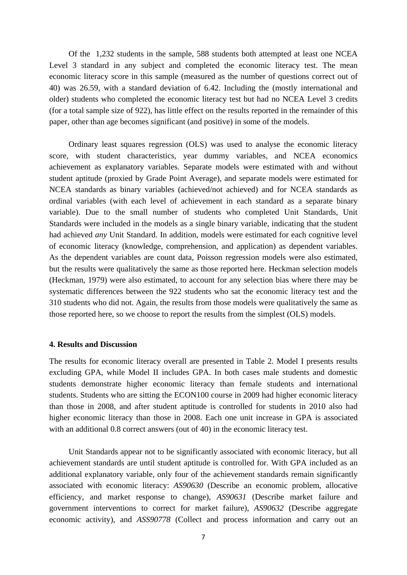Of the 1,232 students in the sample, 588 students both attempted at least one NCEA Level 3 standard in any subject and completed the economic literacy test. The mean economic literacy score in this sample (measured as the number of questions correct out of 40) was 26.59, with a standard deviation of 6.42. Including the (mostly international and older) students who completed the economic literacy test but had no NCEA Level 3 credits (for a total sample size of 922), has little effect on the results reported in the remainder of this paper, other than age becomes significant (and positive) in some of the models.

 Ordinary least squares regression (OLS) was used to analyse the economic literacy score, with student characteristics, year dummy variables, and NCEA economics achievement as explanatory variables. Separate models were estimated with and without student aptitude (proxied by Grade Point Average), and separate models were estimated for NCEA standards as binary variables (achieved/not achieved) and for NCEA standards as ordinal variables (with each level of achievement in each standard as a separate binary variable). Due to the small number of students who completed Unit Standards, Unit Standards were included in the models as a single binary variable, indicating that the student had achieved *any* Unit Standard. In addition, models were estimated for each cognitive level of economic literacy (knowledge, comprehension, and application) as dependent variables. As the dependent variables are count data, Poisson regression models were also estimated, but the results were qualitatively the same as those reported here. Heckman selection models (Heckman, 1979) were also estimated, to account for any selection bias where there may be systematic differences between the 922 students who sat the economic literacy test and the 310 students who did not. Again, the results from those models were qualitatively the same as those reported here, so we choose to report the results from the simplest (OLS) models.

#### **4. Results and Discussion**

The results for economic literacy overall are presented in Table 2. Model I presents results excluding GPA, while Model II includes GPA. In both cases male students and domestic students demonstrate higher economic literacy than female students and international students. Students who are sitting the ECON100 course in 2009 had higher economic literacy than those in 2008, and after student aptitude is controlled for students in 2010 also had higher economic literacy than those in 2008. Each one unit increase in GPA is associated with an additional 0.8 correct answers (out of 40) in the economic literacy test.

 Unit Standards appear not to be significantly associated with economic literacy, but all achievement standards are until student aptitude is controlled for. With GPA included as an additional explanatory variable, only four of the achievement standards remain significantly associated with economic literacy: *AS90630* (Describe an economic problem, allocative efficiency, and market response to change), *AS90631* (Describe market failure and government interventions to correct for market failure), *AS90632* (Describe aggregate economic activity), and *ASS90778* (Collect and process information and carry out an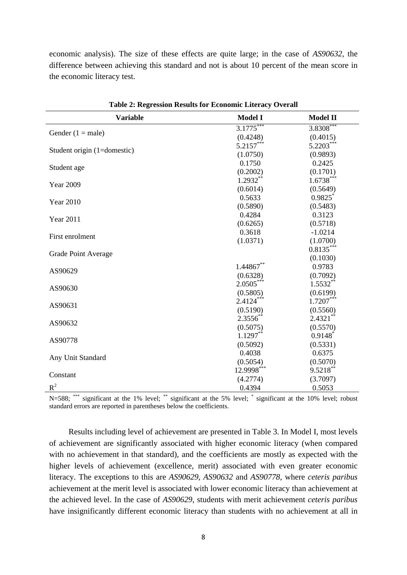economic analysis). The size of these effects are quite large; in the case of *AS90632*, the difference between achieving this standard and not is about 10 percent of the mean score in the economic literacy test.

| Table 2: Regression Results for Economic Literacy Overall |                |                       |  |  |
|-----------------------------------------------------------|----------------|-----------------------|--|--|
| <b>Variable</b>                                           | <b>Model I</b> | <b>Model II</b>       |  |  |
|                                                           | $3.1775***$    | 3.8308***             |  |  |
| Gender $(1 = male)$                                       | (0.4248)       | (0.4015)              |  |  |
|                                                           | $5.2157***$    | $5.2203***$           |  |  |
| Student origin (1=domestic)                               | (1.0750)       | (0.9893)              |  |  |
|                                                           | 0.1750         | 0.2425                |  |  |
| Student age                                               | (0.2002)       | (0.1701)              |  |  |
|                                                           | $1.2932**$     | $1.6738***$           |  |  |
| <b>Year 2009</b>                                          | (0.6014)       | (0.5649)              |  |  |
|                                                           | 0.5633         | $0.9825$ *            |  |  |
| <b>Year 2010</b>                                          | (0.5890)       | (0.5483)              |  |  |
|                                                           | 0.4284         | 0.3123                |  |  |
| <b>Year 2011</b>                                          | (0.6265)       | (0.5718)              |  |  |
|                                                           | 0.3618         | $-1.0214$             |  |  |
| First enrolment                                           | (1.0371)       | (1.0700)              |  |  |
|                                                           |                | $0.8135***$           |  |  |
| Grade Point Average                                       |                | (0.1030)              |  |  |
|                                                           | 1.44867**      | 0.9783                |  |  |
| AS90629                                                   | (0.6328)       | (0.7092)              |  |  |
| AS90630                                                   | $2.0505***$    | $1.5532***$           |  |  |
|                                                           | (0.5805)       | (0.6199)              |  |  |
| AS90631                                                   | $2.4124***$    | $1.7207***$           |  |  |
|                                                           | (0.5190)       | (0.5560)              |  |  |
|                                                           | $2.3556^{**}$  | $2.4321$ **           |  |  |
| AS90632                                                   | (0.5075)       | (0.5570)              |  |  |
| AS90778                                                   | $1.1297***$    | $0.9148$ <sup>*</sup> |  |  |
|                                                           | (0.5092)       | (0.5331)              |  |  |
| Any Unit Standard                                         | 0.4038         | 0.6375                |  |  |
|                                                           | (0.5054)       | (0.5070)              |  |  |
| Constant                                                  | 12.9998***     | $9.5218***$           |  |  |
|                                                           | (4.2774)       | (3.7097)              |  |  |
| $R^2$                                                     | 0.4394         | 0.5053                |  |  |

**Table 2: Regression Results for Economic Literacy Overall** 

N=588; \*\*\* significant at the 1% level; \*\* significant at the 5% level; \* significant at the 10% level; robust standard errors are reported in parentheses below the coefficients.

 Results including level of achievement are presented in Table 3. In Model I, most levels of achievement are significantly associated with higher economic literacy (when compared with no achievement in that standard), and the coefficients are mostly as expected with the higher levels of achievement (excellence, merit) associated with even greater economic literacy. The exceptions to this are *AS90629*, *AS90632* and *AS90778*, where *ceteris paribus* achievement at the merit level is associated with lower economic literacy than achievement at the achieved level. In the case of *AS90629*, students with merit achievement *ceteris paribus* have insignificantly different economic literacy than students with no achievement at all in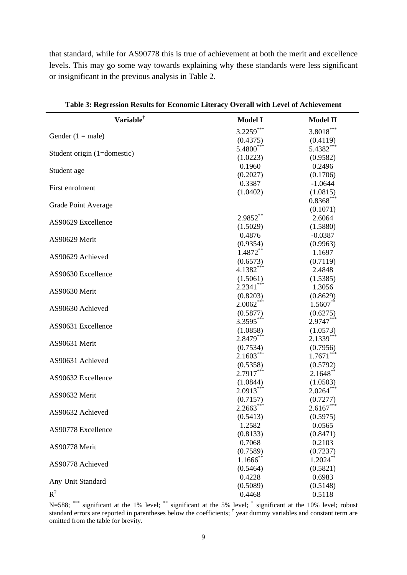that standard, while for AS90778 this is true of achievement at both the merit and excellence levels. This may go some way towards explaining why these standards were less significant or insignificant in the previous analysis in Table 2.

| Variable <sup>†</sup>       | <b>Model I</b>         | <b>Model II</b> |
|-----------------------------|------------------------|-----------------|
|                             | $3.2259***$            | $3.8018***$     |
| Gender $(1 = male)$         | (0.4375)               | (0.4119)        |
|                             | 5.4800***              | 5.4382***       |
| Student origin (1=domestic) | (1.0223)               | (0.9582)        |
|                             | 0.1960                 | 0.2496          |
| Student age                 | (0.2027)               | (0.1706)        |
|                             | 0.3387                 | $-1.0644$       |
| First enrolment             | (1.0402)               | (1.0815)        |
|                             |                        | $0.8368***$     |
| <b>Grade Point Average</b>  |                        | (0.1071)        |
|                             | $2.9852***$            | 2.6064          |
| AS90629 Excellence          | (1.5029)               | (1.5880)        |
|                             | 0.4876                 | $-0.0387$       |
| AS90629 Merit               | (0.9354)               | (0.9963)        |
|                             | 1.4872**               | 1.1697          |
| AS90629 Achieved            | (0.6573)               | (0.7119)        |
|                             | 4.1382***              | 2.4848          |
| AS90630 Excellence          | (1.5061)               | (1.5385)        |
|                             | $2.2341***$            | 1.3056          |
| AS90630 Merit               | (0.8203)               | (0.8629)        |
|                             | $2.0062***$            | $1.5607**$      |
| AS90630 Achieved            | (0.5877)               | (0.6275)        |
|                             | 3.3595***              | $2.9747***$     |
| AS90631 Excellence          | (1.0858)               | (1.0573)        |
|                             | 2.8479***              | $2.1339***$     |
| AS90631 Merit               | (0.7534)               | (0.7956)        |
|                             | $2.1603***$            | $1.7671***$     |
| AS90631 Achieved            | (0.5358)               | (0.5792)        |
|                             | 2.7917***              | $2.1648$ **     |
| AS90632 Excellence          | (1.0844)               | (1.0503)        |
|                             | $2.0913***$            | $2.0264***$     |
| AS90632 Merit               | (0.7157)               | (0.7277)        |
|                             | $2.2663***$            | $2.6167***$     |
| AS90632 Achieved            | (0.5413)               | (0.5975)        |
|                             | 1.2582                 | 0.0565          |
| AS90778 Excellence          | (0.8133)               | (0.8471)        |
|                             | 0.7068                 | 0.2103          |
| AS90778 Merit               | (0.7589)               | (0.7237)        |
|                             | $1.1666$ <sup>**</sup> | $1.2024$ **     |
| AS90778 Achieved            | (0.5464)               | (0.5821)        |
|                             | 0.4228                 | 0.6983          |
| Any Unit Standard           | (0.5089)               | (0.5148)        |
| $R^2$                       |                        |                 |
|                             | 0.4468                 | 0.5118          |

**Table 3: Regression Results for Economic Literacy Overall with Level of Achievement** 

N=588; \*\*\* significant at the 1% level; \*\* significant at the 5% level; \* significant at the 10% level; robust standard errors are reported in parentheses below the coefficients; <sup>†</sup> year dummy variables and constant term are omitted from the table for brevity.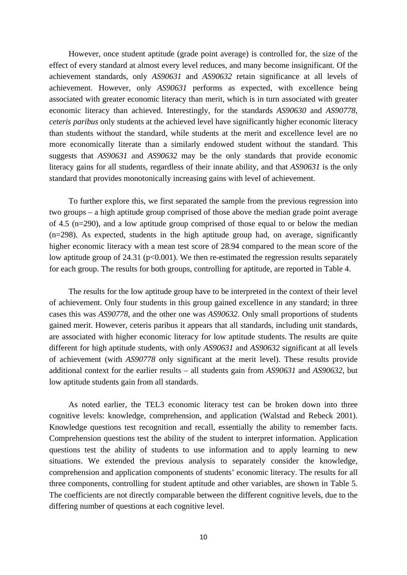However, once student aptitude (grade point average) is controlled for, the size of the effect of every standard at almost every level reduces, and many become insignificant. Of the achievement standards, only *AS90631* and *AS90632* retain significance at all levels of achievement. However, only *AS90631* performs as expected, with excellence being associated with greater economic literacy than merit, which is in turn associated with greater economic literacy than achieved. Interestingly, for the standards *AS90630* and *AS90778*, *ceteris paribus* only students at the achieved level have significantly higher economic literacy than students without the standard, while students at the merit and excellence level are no more economically literate than a similarly endowed student without the standard. This suggests that *AS90631* and *AS90632* may be the only standards that provide economic literacy gains for all students, regardless of their innate ability, and that *AS90631* is the only standard that provides monotonically increasing gains with level of achievement.

 To further explore this, we first separated the sample from the previous regression into two groups – a high aptitude group comprised of those above the median grade point average of 4.5 (n=290), and a low aptitude group comprised of those equal to or below the median (n=298). As expected, students in the high aptitude group had, on average, significantly higher economic literacy with a mean test score of 28.94 compared to the mean score of the low aptitude group of 24.31 ( $p<0.001$ ). We then re-estimated the regression results separately for each group. The results for both groups, controlling for aptitude, are reported in Table 4.

 The results for the low aptitude group have to be interpreted in the context of their level of achievement. Only four students in this group gained excellence in any standard; in three cases this was *AS90778*, and the other one was *AS90632*. Only small proportions of students gained merit. However, ceteris paribus it appears that all standards, including unit standards, are associated with higher economic literacy for low aptitude students. The results are quite different for high aptitude students, with only *AS90631* and *AS90632* significant at all levels of achievement (with *AS90778* only significant at the merit level). These results provide additional context for the earlier results – all students gain from *AS90631* and *AS90632*, but low aptitude students gain from all standards.

 As noted earlier, the TEL3 economic literacy test can be broken down into three cognitive levels: knowledge, comprehension, and application (Walstad and Rebeck 2001). Knowledge questions test recognition and recall, essentially the ability to remember facts. Comprehension questions test the ability of the student to interpret information. Application questions test the ability of students to use information and to apply learning to new situations. We extended the previous analysis to separately consider the knowledge, comprehension and application components of students' economic literacy. The results for all three components, controlling for student aptitude and other variables, are shown in Table 5. The coefficients are not directly comparable between the different cognitive levels, due to the differing number of questions at each cognitive level.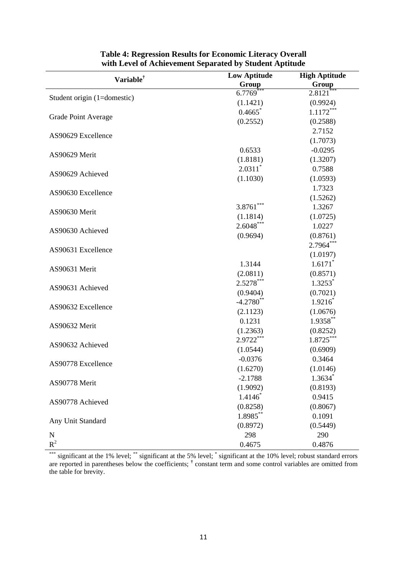| Variable <sup>†</sup>       | <b>Low Aptitude</b>   | <b>High Aptitude</b><br>Group |  |
|-----------------------------|-----------------------|-------------------------------|--|
|                             | Group                 |                               |  |
| Student origin (1=domestic) | 6.7769                | 2.8121                        |  |
|                             | (1.1421)              | (0.9924)                      |  |
|                             | 0.4665                | $1.1172***$                   |  |
| Grade Point Average         | (0.2552)              | (0.2588)                      |  |
| AS90629 Excellence          |                       | 2.7152                        |  |
|                             |                       | (1.7073)                      |  |
|                             | 0.6533                | $-0.0295$                     |  |
| AS90629 Merit               | (1.8181)              | (1.3207)                      |  |
|                             | $2.0311$ <sup>*</sup> | 0.7588                        |  |
| AS90629 Achieved            | (1.1030)              | (1.0593)                      |  |
| AS90630 Excellence          |                       | 1.7323                        |  |
|                             |                       | (1.5262)                      |  |
|                             | $3.8761***$           | 1.3267                        |  |
| AS90630 Merit               | (1.1814)              | (1.0725)                      |  |
|                             | $2.6048***$           | 1.0227                        |  |
| AS90630 Achieved            | (0.9694)              | (0.8761)                      |  |
|                             |                       | 2.7964***                     |  |
| AS90631 Excellence          |                       | (1.0197)                      |  |
|                             | 1.3144                | 1.6171                        |  |
| AS90631 Merit               | (2.0811)              | (0.8571)                      |  |
|                             | 2.5278***             | $1.3253*$                     |  |
| AS90631 Achieved            | (0.9404)              | (0.7021)                      |  |
|                             | $-4.2780$ **          | $1.9216*$                     |  |
| AS90632 Excellence          | (2.1123)              | (1.0676)                      |  |
|                             | 0.1231                | $1.9358***$                   |  |
| AS90632 Merit               | (1.2363)              | (0.8252)                      |  |
|                             | 2.9722***             | 1.8725***                     |  |
| AS90632 Achieved            | (1.0544)              | (0.6909)                      |  |
|                             | $-0.0376$             | 0.3464                        |  |
| AS90778 Excellence          | (1.6270)              | (1.0146)                      |  |
|                             | $-2.1788$             | $1.3634*$                     |  |
| AS90778 Merit               | (1.9092)              | (0.8193)                      |  |
|                             | $1.4146*$             | 0.9415                        |  |
| AS90778 Achieved            | (0.8258)              | (0.8067)                      |  |
|                             | 1.8985**              | 0.1091                        |  |
| Any Unit Standard           | (0.8972)              | (0.5449)                      |  |
| N                           | 298                   | 290                           |  |
| $R^2$                       | 0.4675                | 0.4876                        |  |

# **Table 4: Regression Results for Economic Literacy Overall with Level of Achievement Separated by Student Aptitude**

\*\*\* significant at the 1% level; \*\* significant at the 5% level; \* significant at the 10% level; robust standard errors are reported in parentheses below the coefficients; <sup>†</sup> constant term and some control variables are omitted from the table for brevity.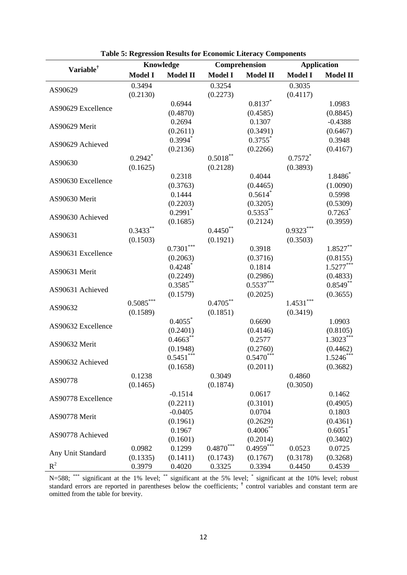|                       | Knowledge                  |                       | Comprehension  |                       | <b>Application</b> |                       |
|-----------------------|----------------------------|-----------------------|----------------|-----------------------|--------------------|-----------------------|
| Variable <sup>†</sup> | <b>Model I</b>             | <b>Model II</b>       | <b>Model I</b> | <b>Model II</b>       | <b>Model I</b>     | <b>Model II</b>       |
|                       | 0.3494                     |                       | 0.3254         |                       | 0.3035             |                       |
| AS90629               | (0.2130)                   |                       | (0.2273)       |                       | (0.4117)           |                       |
| AS90629 Excellence    |                            | 0.6944                |                | $0.8137$ *            |                    | 1.0983                |
|                       |                            | (0.4870)              |                | (0.4585)              |                    | (0.8845)              |
| AS90629 Merit         |                            | 0.2694                |                | 0.1307                |                    | $-0.4388$             |
|                       |                            | (0.2611)              |                | (0.3491)              |                    | (0.6467)              |
| AS90629 Achieved      |                            | $0.3994*$             |                | $0.3755$ <sup>*</sup> |                    | 0.3948                |
|                       |                            | (0.2136)              |                | (0.2266)              |                    | (0.4167)              |
| AS90630               | $0.2942$ <sup>*</sup>      |                       | $0.5018***$    |                       | $0.7572*$          |                       |
|                       | (0.1625)                   |                       | (0.2128)       |                       | (0.3893)           |                       |
| AS90630 Excellence    |                            | 0.2318                |                | 0.4044                |                    | 1.8486                |
|                       |                            | (0.3763)              |                | (0.4465)              |                    | (1.0090)              |
| AS90630 Merit         |                            | 0.1444                |                | $0.5614$ <sup>*</sup> |                    | 0.5998                |
|                       |                            | (0.2203)              |                | (0.3205)              |                    | (0.5309)              |
| AS90630 Achieved      |                            | $0.2991$ <sup>*</sup> |                | $0.5353**$            |                    | $0.7263$ <sup>*</sup> |
|                       |                            | (0.1685)              |                | (0.2124)              |                    | (0.3959)              |
| AS90631               | $0.3433***$                |                       | $0.4450**$     |                       | $0.9323***$        |                       |
|                       | (0.1503)                   |                       | (0.1921)       |                       | (0.3503)           |                       |
| AS90631 Excellence    |                            | $0.7301***$           |                | 0.3918                |                    | $1.8527***$           |
|                       |                            | (0.2063)              |                | (0.3716)              |                    | (0.8155)              |
| AS90631 Merit         |                            | $0.4248$ <sup>*</sup> |                | 0.1814                |                    | $1.5277***$           |
|                       |                            | (0.2249)              |                | (0.2986)              |                    | (0.4833)              |
| AS90631 Achieved      |                            | $0.3585***$           |                | $0.5537***$           |                    | $0.8549**$            |
|                       |                            | (0.1579)              |                | (0.2025)              |                    | (0.3655)              |
| AS90632               | $0.5085\sp{*}{\ast}{\ast}$ |                       | $0.4705***$    |                       | $1.4531***$        |                       |
|                       | (0.1589)                   |                       | (0.1851)       |                       | (0.3419)           |                       |
| AS90632 Excellence    |                            | 0.4055                |                | 0.6690                |                    | 1.0903                |
|                       |                            | (0.2401)              |                | (0.4146)              |                    | (0.8105)              |
| AS90632 Merit         |                            | $0.4663***$           |                | 0.2577                |                    | $1.3023***$           |
|                       |                            | (0.1948)              |                | (0.2760)              |                    | (0.4462)              |
| AS90632 Achieved      |                            | $0.5451***$           |                | $0.5470***$           |                    | $1.5246*$             |
|                       |                            | (0.1658)              |                | (0.2011)              |                    | (0.3682)              |
| AS90778               | 0.1238                     |                       | 0.3049         |                       | 0.4860             |                       |
|                       | (0.1465)                   |                       | (0.1874)       |                       | (0.3050)           |                       |
| AS90778 Excellence    |                            | $-0.1514$             |                | 0.0617                |                    | 0.1462                |
|                       |                            | (0.2211)              |                | (0.3101)              |                    | (0.4905)              |
| AS90778 Merit         |                            | $-0.0405$             |                | 0.0704                |                    | 0.1803                |
|                       |                            | (0.1961)              |                | (0.2629)              |                    | (0.4361)              |
| AS90778 Achieved      |                            | 0.1967                |                | $0.4006*$             |                    | $0.6051^*$            |
|                       |                            | (0.1601)              |                | (0.2014)              |                    | (0.3402)              |
| Any Unit Standard     | 0.0982                     | 0.1299                | $0.4870^\ast$  | $0.4959***$           | 0.0523             | 0.0725                |
|                       | (0.1335)                   | (0.1411)              | (0.1743)       | (0.1767)              | (0.3178)           | (0.3268)              |
| $R^2$                 | 0.3979                     | 0.4020                | 0.3325         | 0.3394                | 0.4450             | 0.4539                |

**Table 5: Regression Results for Economic Literacy Components** 

N=588; \*\*\* significant at the 1% level; \*\* significant at the 5% level; \* significant at the 10% level; robust standard errors are reported in parentheses below the coefficients; <sup>†</sup> control variables and constant term are omitted from the table for brevity.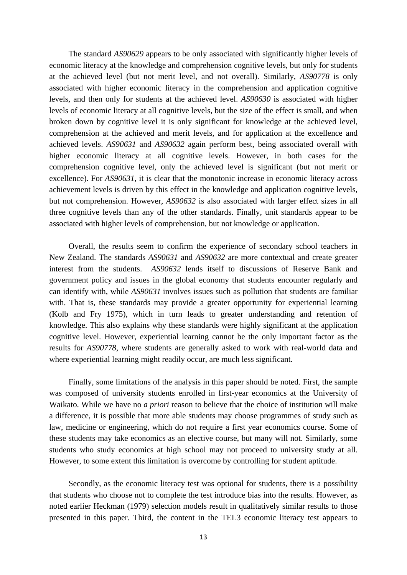The standard *AS90629* appears to be only associated with significantly higher levels of economic literacy at the knowledge and comprehension cognitive levels, but only for students at the achieved level (but not merit level, and not overall). Similarly, *AS90778* is only associated with higher economic literacy in the comprehension and application cognitive levels, and then only for students at the achieved level. *AS90630* is associated with higher levels of economic literacy at all cognitive levels, but the size of the effect is small, and when broken down by cognitive level it is only significant for knowledge at the achieved level, comprehension at the achieved and merit levels, and for application at the excellence and achieved levels. *AS90631* and *AS90632* again perform best, being associated overall with higher economic literacy at all cognitive levels. However, in both cases for the comprehension cognitive level, only the achieved level is significant (but not merit or excellence). For *AS90631*, it is clear that the monotonic increase in economic literacy across achievement levels is driven by this effect in the knowledge and application cognitive levels, but not comprehension. However, *AS90632* is also associated with larger effect sizes in all three cognitive levels than any of the other standards. Finally, unit standards appear to be associated with higher levels of comprehension, but not knowledge or application.

 Overall, the results seem to confirm the experience of secondary school teachers in New Zealand. The standards *AS90631* and *AS90632* are more contextual and create greater interest from the students. *AS90632* lends itself to discussions of Reserve Bank and government policy and issues in the global economy that students encounter regularly and can identify with, while *AS90631* involves issues such as pollution that students are familiar with. That is, these standards may provide a greater opportunity for experiential learning (Kolb and Fry 1975), which in turn leads to greater understanding and retention of knowledge. This also explains why these standards were highly significant at the application cognitive level. However, experiential learning cannot be the only important factor as the results for *AS90778*, where students are generally asked to work with real-world data and where experiential learning might readily occur, are much less significant.

 Finally, some limitations of the analysis in this paper should be noted. First, the sample was composed of university students enrolled in first-year economics at the University of Waikato. While we have no *a priori* reason to believe that the choice of institution will make a difference, it is possible that more able students may choose programmes of study such as law, medicine or engineering, which do not require a first year economics course. Some of these students may take economics as an elective course, but many will not. Similarly, some students who study economics at high school may not proceed to university study at all. However, to some extent this limitation is overcome by controlling for student aptitude.

 Secondly, as the economic literacy test was optional for students, there is a possibility that students who choose not to complete the test introduce bias into the results. However, as noted earlier Heckman (1979) selection models result in qualitatively similar results to those presented in this paper. Third, the content in the TEL3 economic literacy test appears to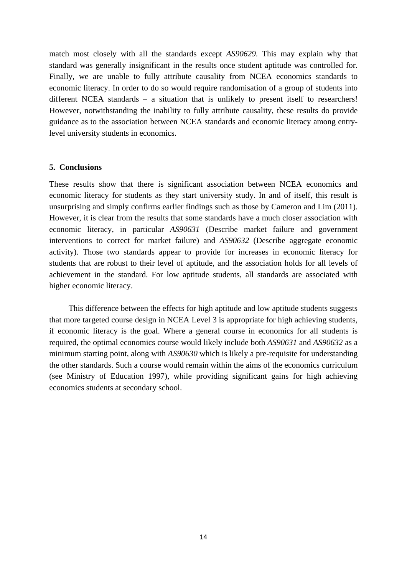match most closely with all the standards except *AS90629*. This may explain why that standard was generally insignificant in the results once student aptitude was controlled for. Finally, we are unable to fully attribute causality from NCEA economics standards to economic literacy. In order to do so would require randomisation of a group of students into different NCEA standards – a situation that is unlikely to present itself to researchers! However, notwithstanding the inability to fully attribute causality, these results do provide guidance as to the association between NCEA standards and economic literacy among entrylevel university students in economics.

#### **5. Conclusions**

These results show that there is significant association between NCEA economics and economic literacy for students as they start university study. In and of itself, this result is unsurprising and simply confirms earlier findings such as those by Cameron and Lim (2011). However, it is clear from the results that some standards have a much closer association with economic literacy, in particular *AS90631* (Describe market failure and government interventions to correct for market failure) and *AS90632* (Describe aggregate economic activity). Those two standards appear to provide for increases in economic literacy for students that are robust to their level of aptitude, and the association holds for all levels of achievement in the standard. For low aptitude students, all standards are associated with higher economic literacy.

 This difference between the effects for high aptitude and low aptitude students suggests that more targeted course design in NCEA Level 3 is appropriate for high achieving students, if economic literacy is the goal. Where a general course in economics for all students is required, the optimal economics course would likely include both *AS90631* and *AS90632* as a minimum starting point, along with *AS90630* which is likely a pre-requisite for understanding the other standards. Such a course would remain within the aims of the economics curriculum (see Ministry of Education 1997), while providing significant gains for high achieving economics students at secondary school.